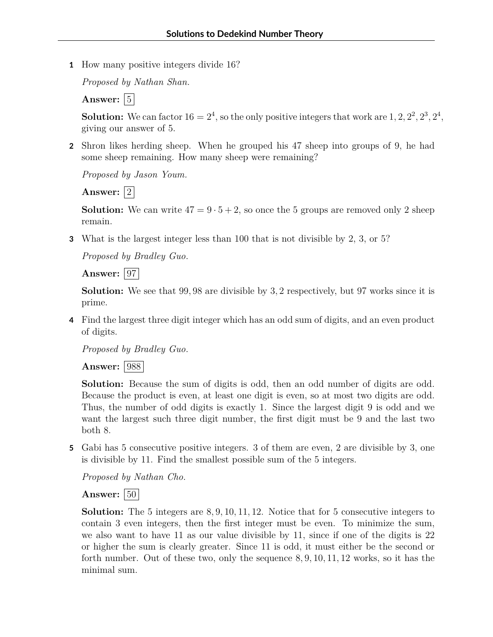**1** How many positive integers divide 16?

*Proposed by Nathan Shan.*

Answer:  $|5|$ 

**Solution:** We can factor  $16 = 2^4$ , so the only positive integers that work are  $1, 2, 2^2, 2^3, 2^4$ , giving our answer of 5.

**2** Shron likes herding sheep. When he grouped his 47 sheep into groups of 9, he had some sheep remaining. How many sheep were remaining?

*Proposed by Jason Youm.*

Answer:  $|2|$ 

**Solution:** We can write  $47 = 9 \cdot 5 + 2$ , so once the 5 groups are removed only 2 sheep remain.

**3** What is the largest integer less than 100 that is not divisible by 2, 3, or 5?

*Proposed by Bradley Guo.*

**Answer:** 97

**Solution:** We see that 99*,* 98 are divisible by 3*,* 2 respectively, but 97 works since it is prime.

**4** Find the largest three digit integer which has an odd sum of digits, and an even product of digits.

*Proposed by Bradley Guo.*

**Answer:** 988

**Solution:** Because the sum of digits is odd, then an odd number of digits are odd. Because the product is even, at least one digit is even, so at most two digits are odd. Thus, the number of odd digits is exactly 1. Since the largest digit 9 is odd and we want the largest such three digit number, the first digit must be 9 and the last two both 8.

**5** Gabi has 5 consecutive positive integers. 3 of them are even, 2 are divisible by 3, one is divisible by 11. Find the smallest possible sum of the 5 integers.

*Proposed by Nathan Cho.*

## **Answer:**  $|50|$

**Solution:** The 5 integers are 8*,* 9*,* 10*,* 11*,* 12. Notice that for 5 consecutive integers to contain 3 even integers, then the first integer must be even. To minimize the sum, we also want to have 11 as our value divisible by 11, since if one of the digits is 22 or higher the sum is clearly greater. Since 11 is odd, it must either be the second or forth number. Out of these two, only the sequence 8*,* 9*,* 10*,* 11*,* 12 works, so it has the minimal sum.